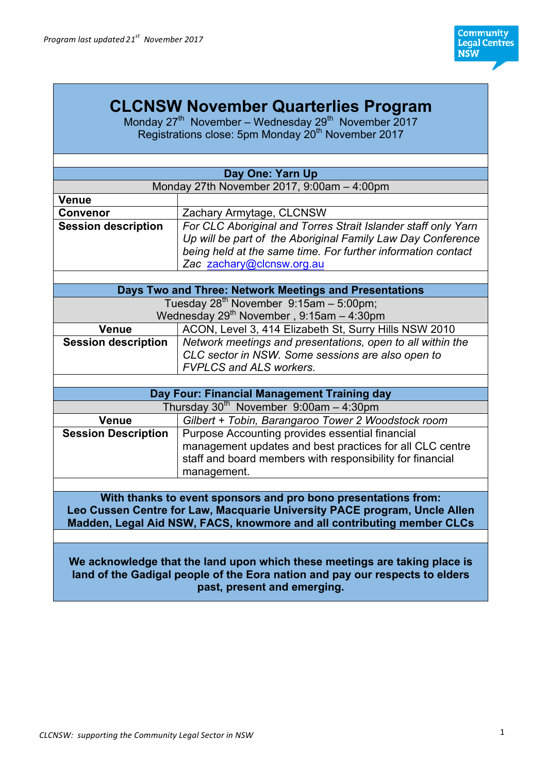# **CLCNSW November Quarterlies Program**

Monday  $27<sup>th</sup>$  November – Wednesday  $29<sup>th</sup>$  November 2017 Registrations close: 5pm Monday 20<sup>th</sup> November 2017

| Day One: Yarn Up                                                          |                                                               |  |
|---------------------------------------------------------------------------|---------------------------------------------------------------|--|
| Monday 27th November 2017, 9:00am - 4:00pm                                |                                                               |  |
| <b>Venue</b>                                                              |                                                               |  |
| <b>Convenor</b>                                                           | Zachary Armytage, CLCNSW                                      |  |
| <b>Session description</b>                                                | For CLC Aboriginal and Torres Strait Islander staff only Yarn |  |
|                                                                           | Up will be part of the Aboriginal Family Law Day Conference   |  |
|                                                                           | being held at the same time. For further information contact  |  |
|                                                                           | Zac zachary@clcnsw.org.au                                     |  |
|                                                                           |                                                               |  |
| Days Two and Three: Network Meetings and Presentations                    |                                                               |  |
| Tuesday $28^{th}$ November $9:15$ am - 5:00pm;                            |                                                               |  |
|                                                                           | Wednesday $29^{th}$ November, 9:15am - 4:30pm                 |  |
| Venue                                                                     | ACON, Level 3, 414 Elizabeth St, Surry Hills NSW 2010         |  |
| <b>Session description</b>                                                | Network meetings and presentations, open to all within the    |  |
|                                                                           | CLC sector in NSW. Some sessions are also open to             |  |
|                                                                           | <b>FVPLCS and ALS workers.</b>                                |  |
|                                                                           |                                                               |  |
|                                                                           | Day Four: Financial Management Training day                   |  |
|                                                                           | Thursday $30th$ November $9:00$ am - 4:30pm                   |  |
| <b>Venue</b>                                                              | Gilbert + Tobin, Barangaroo Tower 2 Woodstock room            |  |
| <b>Session Description</b>                                                | Purpose Accounting provides essential financial               |  |
|                                                                           | management updates and best practices for all CLC centre      |  |
|                                                                           | staff and board members with responsibility for financial     |  |
|                                                                           | management.                                                   |  |
|                                                                           |                                                               |  |
| With thanks to event sponsors and pro bono presentations from:            |                                                               |  |
| Leo Cussen Centre for Law, Macquarie University PACE program, Uncle Allen |                                                               |  |
| Madden, Legal Aid NSW, FACS, knowmore and all contributing member CLCs    |                                                               |  |

**We acknowledge that the land upon which these meetings are taking place is land of the Gadigal people of the Eora nation and pay our respects to elders past, present and emerging.**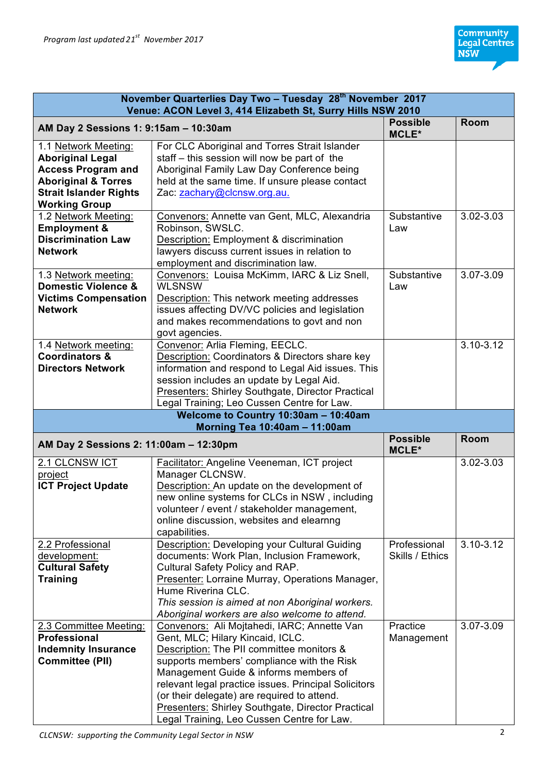| November Quarterlies Day Two - Tuesday 28th November 2017<br>Venue: ACON Level 3, 414 Elizabeth St, Surry Hills NSW 2010 |                                                                                                        |                          |               |
|--------------------------------------------------------------------------------------------------------------------------|--------------------------------------------------------------------------------------------------------|--------------------------|---------------|
| AM Day 2 Sessions 1: 9:15am - 10:30am                                                                                    |                                                                                                        | <b>Possible</b><br>MCLE* | Room          |
| 1.1 Network Meeting:                                                                                                     | For CLC Aboriginal and Torres Strait Islander                                                          |                          |               |
| <b>Aboriginal Legal</b>                                                                                                  | staff - this session will now be part of the                                                           |                          |               |
| <b>Access Program and</b>                                                                                                | Aboriginal Family Law Day Conference being                                                             |                          |               |
| <b>Aboriginal &amp; Torres</b>                                                                                           | held at the same time. If unsure please contact                                                        |                          |               |
| <b>Strait Islander Rights</b>                                                                                            | Zac: zachary@clcnsw.org.au.                                                                            |                          |               |
| <b>Working Group</b>                                                                                                     |                                                                                                        |                          |               |
| 1.2 Network Meeting:                                                                                                     | Convenors: Annette van Gent, MLC, Alexandria                                                           | Substantive              | 3.02-3.03     |
| <b>Employment &amp;</b>                                                                                                  | Robinson, SWSLC.                                                                                       | Law                      |               |
| <b>Discrimination Law</b>                                                                                                | Description: Employment & discrimination                                                               |                          |               |
| <b>Network</b>                                                                                                           | lawyers discuss current issues in relation to                                                          |                          |               |
|                                                                                                                          | employment and discrimination law.                                                                     |                          |               |
| 1.3 Network meeting:                                                                                                     | Convenors: Louisa McKimm, IARC & Liz Snell,                                                            | Substantive              | 3.07-3.09     |
| Domestic Violence &                                                                                                      | <b>WLSNSW</b>                                                                                          | Law                      |               |
| <b>Victims Compensation</b>                                                                                              | Description: This network meeting addresses                                                            |                          |               |
| <b>Network</b>                                                                                                           | issues affecting DV/VC policies and legislation                                                        |                          |               |
|                                                                                                                          | and makes recommendations to govt and non                                                              |                          |               |
|                                                                                                                          | govt agencies.                                                                                         |                          |               |
| 1.4 Network meeting:                                                                                                     | Convenor: Arlia Fleming, EECLC.                                                                        |                          | $3.10 - 3.12$ |
| <b>Coordinators &amp;</b>                                                                                                | Description: Coordinators & Directors share key                                                        |                          |               |
| <b>Directors Network</b>                                                                                                 | information and respond to Legal Aid issues. This                                                      |                          |               |
|                                                                                                                          | session includes an update by Legal Aid.                                                               |                          |               |
|                                                                                                                          | Presenters: Shirley Southgate, Director Practical                                                      |                          |               |
|                                                                                                                          | Legal Training; Leo Cussen Centre for Law.                                                             |                          |               |
|                                                                                                                          |                                                                                                        |                          |               |
|                                                                                                                          | Welcome to Country 10:30am - 10:40am<br>Morning Tea 10:40am - 11:00am                                  |                          |               |
| AM Day 2 Sessions 2: 11:00am - 12:30pm                                                                                   |                                                                                                        | <b>Possible</b><br>MCLE* | <b>Room</b>   |
| 2.1 CLCNSW ICT                                                                                                           | Facilitator: Angeline Veeneman, ICT project                                                            |                          | 3.02-3.03     |
| project                                                                                                                  | Manager CLCNSW.                                                                                        |                          |               |
| <b>ICT Project Update</b>                                                                                                | Description: An update on the development of                                                           |                          |               |
|                                                                                                                          | new online systems for CLCs in NSW, including                                                          |                          |               |
|                                                                                                                          | volunteer / event / stakeholder management,                                                            |                          |               |
|                                                                                                                          | online discussion, websites and elearnng                                                               |                          |               |
|                                                                                                                          | capabilities.                                                                                          |                          |               |
| 2.2 Professional                                                                                                         | Description: Developing your Cultural Guiding                                                          | Professional             | $3.10 - 3.12$ |
| development:                                                                                                             | documents: Work Plan, Inclusion Framework,                                                             | Skills / Ethics          |               |
| <b>Cultural Safety</b>                                                                                                   | Cultural Safety Policy and RAP.                                                                        |                          |               |
| <b>Training</b>                                                                                                          | Presenter: Lorraine Murray, Operations Manager,                                                        |                          |               |
|                                                                                                                          | Hume Riverina CLC.                                                                                     |                          |               |
|                                                                                                                          | This session is aimed at non Aboriginal workers.                                                       |                          |               |
|                                                                                                                          | Aboriginal workers are also welcome to attend.                                                         |                          |               |
| 2.3 Committee Meeting:                                                                                                   | Convenors: Ali Mojtahedi, IARC; Annette Van                                                            | Practice                 | 3.07-3.09     |
| <b>Professional</b>                                                                                                      | Gent, MLC; Hilary Kincaid, ICLC.                                                                       | Management               |               |
| <b>Indemnity Insurance</b>                                                                                               | Description: The PII committee monitors &                                                              |                          |               |
| <b>Committee (PII)</b>                                                                                                   | supports members' compliance with the Risk                                                             |                          |               |
|                                                                                                                          | Management Guide & informs members of                                                                  |                          |               |
|                                                                                                                          | relevant legal practice issues. Principal Solicitors                                                   |                          |               |
|                                                                                                                          | (or their delegate) are required to attend.                                                            |                          |               |
|                                                                                                                          | <b>Presenters: Shirley Southgate, Director Practical</b><br>Legal Training, Leo Cussen Centre for Law. |                          |               |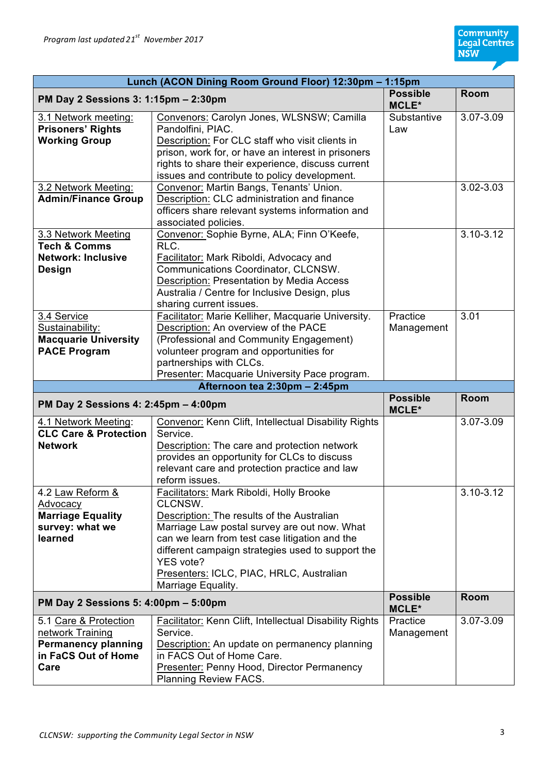| Lunch (ACON Dining Room Ground Floor) 12:30pm -<br>$1:15$ pm                                           |                                                                                                                                                                                                                                                                                             |                                 |                            |
|--------------------------------------------------------------------------------------------------------|---------------------------------------------------------------------------------------------------------------------------------------------------------------------------------------------------------------------------------------------------------------------------------------------|---------------------------------|----------------------------|
| PM Day 2 Sessions 3: 1:15pm - 2:30pm                                                                   |                                                                                                                                                                                                                                                                                             | <b>Possible</b><br>MCLE*        | <b>Room</b>                |
| 3.1 Network meeting:<br><b>Prisoners' Rights</b><br><b>Working Group</b>                               | Convenors: Carolyn Jones, WLSNSW; Camilla<br>Pandolfini, PIAC.<br>Description: For CLC staff who visit clients in<br>prison, work for, or have an interest in prisoners<br>rights to share their experience, discuss current<br>issues and contribute to policy development.                | Substantive<br>Law              | 3.07-3.09                  |
| 3.2 Network Meeting:<br><b>Admin/Finance Group</b>                                                     | Convenor: Martin Bangs, Tenants' Union.<br>Description: CLC administration and finance<br>officers share relevant systems information and<br>associated policies.                                                                                                                           |                                 | 3.02-3.03                  |
| 3.3 Network Meeting<br><b>Tech &amp; Comms</b><br><b>Network: Inclusive</b><br><b>Design</b>           | Convenor: Sophie Byrne, ALA; Finn O'Keefe,<br>RLC.<br>Facilitator: Mark Riboldi, Advocacy and<br>Communications Coordinator, CLCNSW.<br><b>Description: Presentation by Media Access</b><br>Australia / Centre for Inclusive Design, plus<br>sharing current issues.                        |                                 | $3.10 - 3.12$              |
| 3.4 Service<br>Sustainability:<br><b>Macquarie University</b><br><b>PACE Program</b>                   | Facilitator: Marie Kelliher, Macquarie University.<br>Description: An overview of the PACE<br>(Professional and Community Engagement)<br>volunteer program and opportunities for<br>partnerships with CLCs.<br>Presenter: Macquarie University Pace program.                                | Practice<br>Management          | 3.01                       |
|                                                                                                        | Afternoon tea 2:30pm - 2:45pm                                                                                                                                                                                                                                                               |                                 |                            |
| PM Day 2 Sessions 4: 2:45pm - 4:00pm                                                                   |                                                                                                                                                                                                                                                                                             | <b>Possible</b><br><b>MCLE*</b> | Room                       |
| 4.1 Network Meeting:<br><b>CLC Care &amp; Protection</b><br><b>Network</b><br>4.2 Law Reform &         | Convenor: Kenn Clift, Intellectual Disability Rights<br>Service.<br>Description: The care and protection network<br>provides an opportunity for CLCs to discuss<br>relevant care and protection practice and law<br>reform issues.<br>Facilitators: Mark Riboldi, Holly Brooke              |                                 | 3.07-3.09<br>$3.10 - 3.12$ |
| Advocacy<br><b>Marriage Equality</b><br>survey: what we<br>learned                                     | CLCNSW.<br>Description: The results of the Australian<br>Marriage Law postal survey are out now. What<br>can we learn from test case litigation and the<br>different campaign strategies used to support the<br>YES vote?<br>Presenters: ICLC, PIAC, HRLC, Australian<br>Marriage Equality. |                                 |                            |
| PM Day 2 Sessions 5: 4:00pm - 5:00pm                                                                   |                                                                                                                                                                                                                                                                                             | <b>Possible</b><br>MCLE*        | Room                       |
| 5.1 Care & Protection<br>network Training<br><b>Permanency planning</b><br>in FaCS Out of Home<br>Care | Facilitator: Kenn Clift, Intellectual Disability Rights<br>Service.<br>Description: An update on permanency planning<br>in FACS Out of Home Care.<br>Presenter: Penny Hood, Director Permanency<br>Planning Review FACS.                                                                    | Practice<br>Management          | 3.07-3.09                  |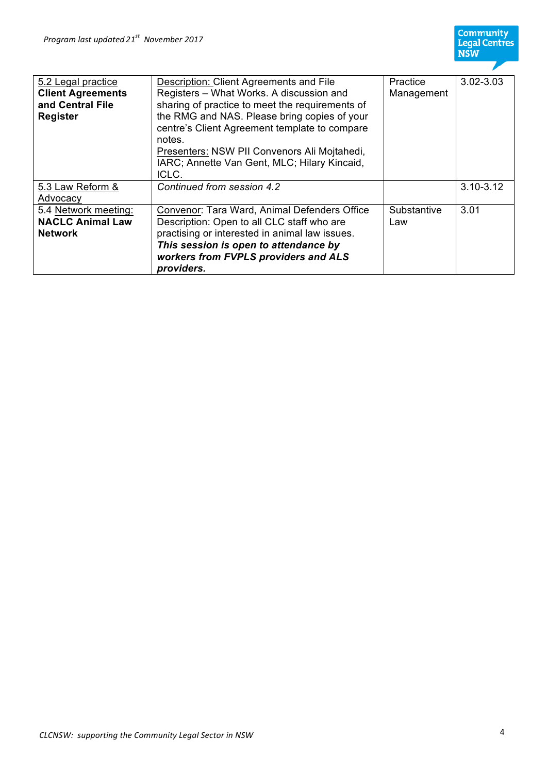

| 5.2 Legal practice       | Description: Client Agreements and File         | <b>Practice</b> | 3.02-3.03     |
|--------------------------|-------------------------------------------------|-----------------|---------------|
| <b>Client Agreements</b> | Registers - What Works. A discussion and        | Management      |               |
| and Central File         | sharing of practice to meet the requirements of |                 |               |
| Register                 | the RMG and NAS. Please bring copies of your    |                 |               |
|                          | centre's Client Agreement template to compare   |                 |               |
|                          | notes.                                          |                 |               |
|                          | Presenters: NSW PII Convenors Ali Mojtahedi,    |                 |               |
|                          | IARC; Annette Van Gent, MLC; Hilary Kincaid,    |                 |               |
|                          | ICLC.                                           |                 |               |
| 5.3 Law Reform &         | Continued from session 4.2                      |                 | $3.10 - 3.12$ |
| Advocacy                 |                                                 |                 |               |
| 5.4 Network meeting:     | Convenor: Tara Ward, Animal Defenders Office    | Substantive     | 3.01          |
| <b>NACLC Animal Law</b>  | Description: Open to all CLC staff who are      | Law             |               |
| <b>Network</b>           | practising or interested in animal law issues.  |                 |               |
|                          | This session is open to attendance by           |                 |               |
|                          | workers from FVPLS providers and ALS            |                 |               |
|                          | providers.                                      |                 |               |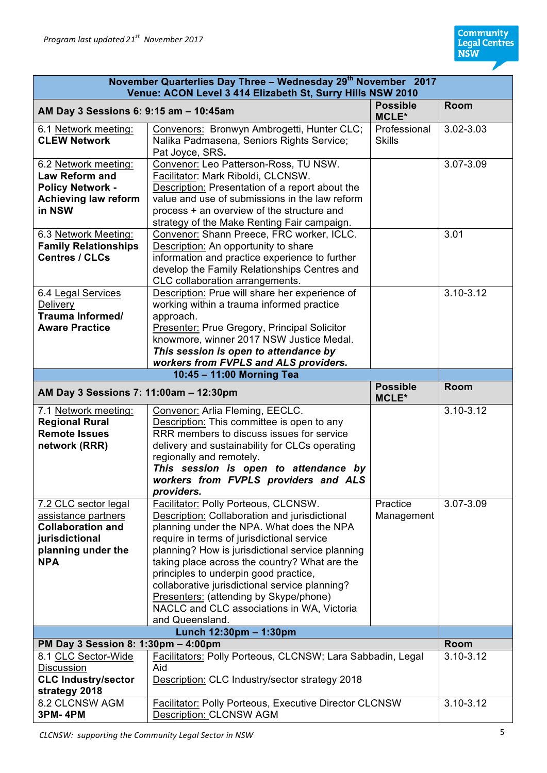| November Quarterlies Day Three - Wednesday 29 <sup>th</sup> November 2017<br>Venue: ACON Level 3 414 Elizabeth St, Surry Hills NSW 2010 |                                                                                                                                                                                                                                                                                                                                                                                                                                                                                             |                               |               |
|-----------------------------------------------------------------------------------------------------------------------------------------|---------------------------------------------------------------------------------------------------------------------------------------------------------------------------------------------------------------------------------------------------------------------------------------------------------------------------------------------------------------------------------------------------------------------------------------------------------------------------------------------|-------------------------------|---------------|
| AM Day 3 Sessions 6: 9:15 am - 10:45am                                                                                                  |                                                                                                                                                                                                                                                                                                                                                                                                                                                                                             | <b>Possible</b><br>MCLE*      | <b>Room</b>   |
| 6.1 Network meeting:<br><b>CLEW Network</b>                                                                                             | Convenors: Bronwyn Ambrogetti, Hunter CLC;<br>Nalika Padmasena, Seniors Rights Service;<br>Pat Joyce, SRS.                                                                                                                                                                                                                                                                                                                                                                                  | Professional<br><b>Skills</b> | 3.02-3.03     |
| 6.2 Network meeting:<br><b>Law Reform and</b><br><b>Policy Network -</b><br><b>Achieving law reform</b><br>in NSW                       | Convenor: Leo Patterson-Ross, TU NSW.<br>Facilitator: Mark Riboldi, CLCNSW.<br>Description: Presentation of a report about the<br>value and use of submissions in the law reform<br>process + an overview of the structure and<br>strategy of the Make Renting Fair campaign.                                                                                                                                                                                                               |                               | 3.07-3.09     |
| 6.3 Network Meeting:<br><b>Family Relationships</b><br><b>Centres / CLCs</b>                                                            | Convenor: Shann Preece, FRC worker, ICLC.<br>Description: An opportunity to share<br>information and practice experience to further<br>develop the Family Relationships Centres and<br>CLC collaboration arrangements.                                                                                                                                                                                                                                                                      |                               | 3.01          |
| 6.4 Legal Services<br><b>Delivery</b><br>Trauma Informed/<br><b>Aware Practice</b>                                                      | Description: Prue will share her experience of<br>working within a trauma informed practice<br>approach.<br>Presenter: Prue Gregory, Principal Solicitor<br>knowmore, winner 2017 NSW Justice Medal.<br>This session is open to attendance by<br>workers from FVPLS and ALS providers.                                                                                                                                                                                                      |                               | $3.10 - 3.12$ |
|                                                                                                                                         | 10:45 - 11:00 Morning Tea                                                                                                                                                                                                                                                                                                                                                                                                                                                                   |                               |               |
| AM Day 3 Sessions 7: 11:00am - 12:30pm                                                                                                  |                                                                                                                                                                                                                                                                                                                                                                                                                                                                                             | <b>Possible</b><br>MCLE*      | Room          |
| 7.1 Network meeting:<br><b>Regional Rural</b><br><b>Remote Issues</b><br>network (RRR)                                                  | Convenor: Arlia Fleming, EECLC.<br>Description: This committee is open to any<br>RRR members to discuss issues for service<br>delivery and sustainability for CLCs operating<br>regionally and remotely.<br>This session is open to attendance by<br>workers from FVPLS providers and ALS<br>providers.                                                                                                                                                                                     |                               | $3.10 - 3.12$ |
| 7.2 CLC sector legal<br>assistance partners<br><b>Collaboration and</b><br>jurisdictional<br>planning under the<br><b>NPA</b>           | Facilitator: Polly Porteous, CLCNSW.<br>Description: Collaboration and jurisdictional<br>planning under the NPA. What does the NPA<br>require in terms of jurisdictional service<br>planning? How is jurisdictional service planning<br>taking place across the country? What are the<br>principles to underpin good practice,<br>collaborative jurisdictional service planning?<br>Presenters: (attending by Skype/phone)<br>NACLC and CLC associations in WA, Victoria<br>and Queensland. | Practice<br>Management        | 3.07-3.09     |
| Lunch 12:30pm - 1:30pm                                                                                                                  |                                                                                                                                                                                                                                                                                                                                                                                                                                                                                             |                               |               |
| PM Day 3 Session 8: 1:30pm - 4:00pm                                                                                                     |                                                                                                                                                                                                                                                                                                                                                                                                                                                                                             |                               | <b>Room</b>   |
| 8.1 CLC Sector-Wide<br>Discussion<br><b>CLC Industry/sector</b><br>strategy 2018                                                        | Facilitators: Polly Porteous, CLCNSW; Lara Sabbadin, Legal<br>Aid<br>Description: CLC Industry/sector strategy 2018                                                                                                                                                                                                                                                                                                                                                                         |                               | $3.10 - 3.12$ |
| 8.2 CLCNSW AGM<br><b>3PM-4PM</b>                                                                                                        | <b>Facilitator: Polly Porteous, Executive Director CLCNSW</b>                                                                                                                                                                                                                                                                                                                                                                                                                               |                               | 3.10-3.12     |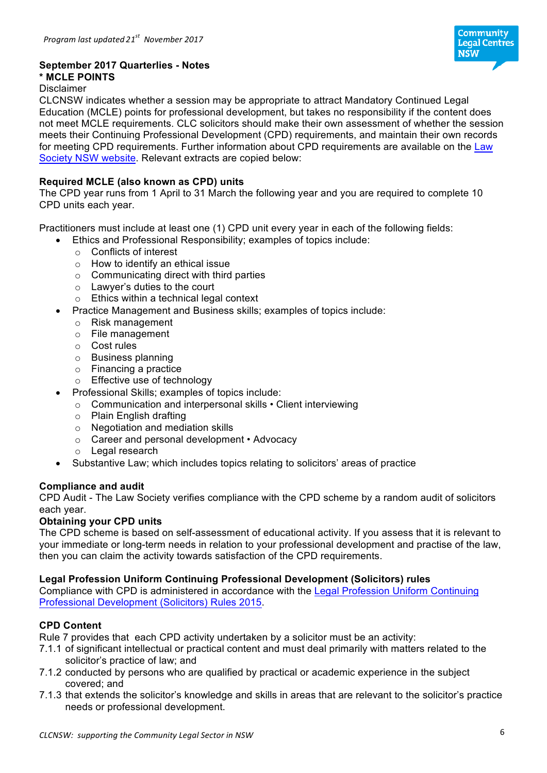

## **September 2017 Quarterlies - Notes**

# **\* MCLE POINTS**

## Disclaimer

CLCNSW indicates whether a session may be appropriate to attract Mandatory Continued Legal Education (MCLE) points for professional development, but takes no responsibility if the content does not meet MCLE requirements. CLC solicitors should make their own assessment of whether the session meets their Continuing Professional Development (CPD) requirements, and maintain their own records for meeting CPD requirements. Further information about CPD requirements are available on the Law Society NSW website. Relevant extracts are copied below:

#### **Required MCLE (also known as CPD) units**

The CPD year runs from 1 April to 31 March the following year and you are required to complete 10 CPD units each year.

Practitioners must include at least one (1) CPD unit every year in each of the following fields:

- Ethics and Professional Responsibility; examples of topics include:
	- o Conflicts of interest
	- o How to identify an ethical issue
	- $\circ$  Communicating direct with third parties
	- o Lawyer's duties to the court
	- o Ethics within a technical legal context
- Practice Management and Business skills; examples of topics include:
	- o Risk management
	- o File management
	- o Cost rules
	- o Business planning
	- o Financing a practice
	- o Effective use of technology
- Professional Skills; examples of topics include:
	- o Communication and interpersonal skills Client interviewing
	- o Plain English drafting
	- o Negotiation and mediation skills
	- o Career and personal development Advocacy
	- o Legal research
- Substantive Law; which includes topics relating to solicitors' areas of practice

#### **Compliance and audit**

CPD Audit - The Law Society verifies compliance with the CPD scheme by a random audit of solicitors each year.

#### **Obtaining your CPD units**

The CPD scheme is based on self-assessment of educational activity. If you assess that it is relevant to your immediate or long-term needs in relation to your professional development and practise of the law, then you can claim the activity towards satisfaction of the CPD requirements.

#### **Legal Profession Uniform Continuing Professional Development (Solicitors) rules**

Compliance with CPD is administered in accordance with the Legal Profession Uniform Continuing Professional Development (Solicitors) Rules 2015.

#### **CPD Content**

Rule 7 provides that each CPD activity undertaken by a solicitor must be an activity:

- 7.1.1 of significant intellectual or practical content and must deal primarily with matters related to the solicitor's practice of law; and
- 7.1.2 conducted by persons who are qualified by practical or academic experience in the subject covered; and
- 7.1.3 that extends the solicitor's knowledge and skills in areas that are relevant to the solicitor's practice needs or professional development.